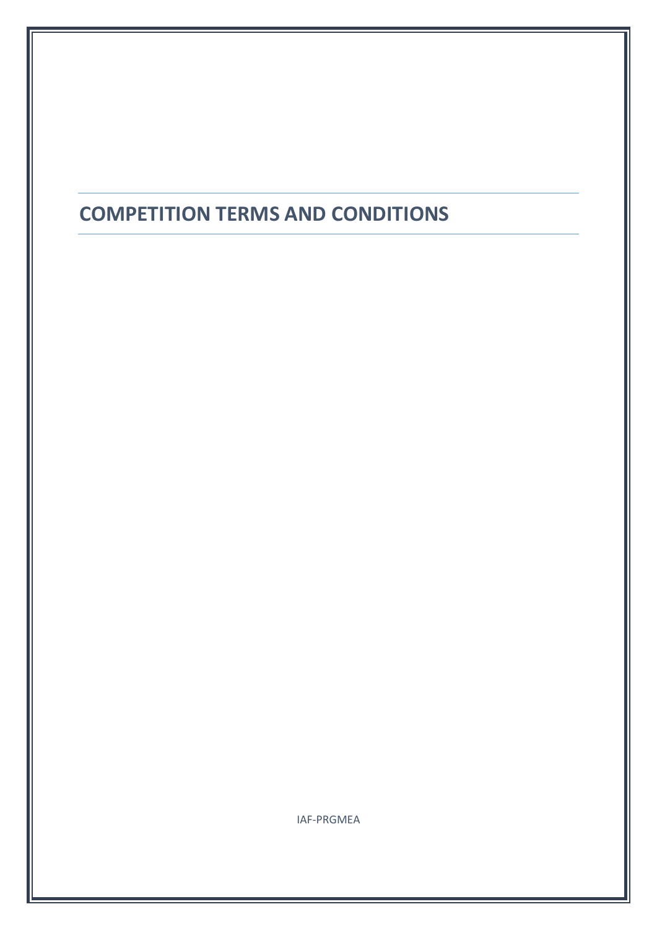## **COMPETITION TERMS AND CONDITIONS**

IAF-PRGMEA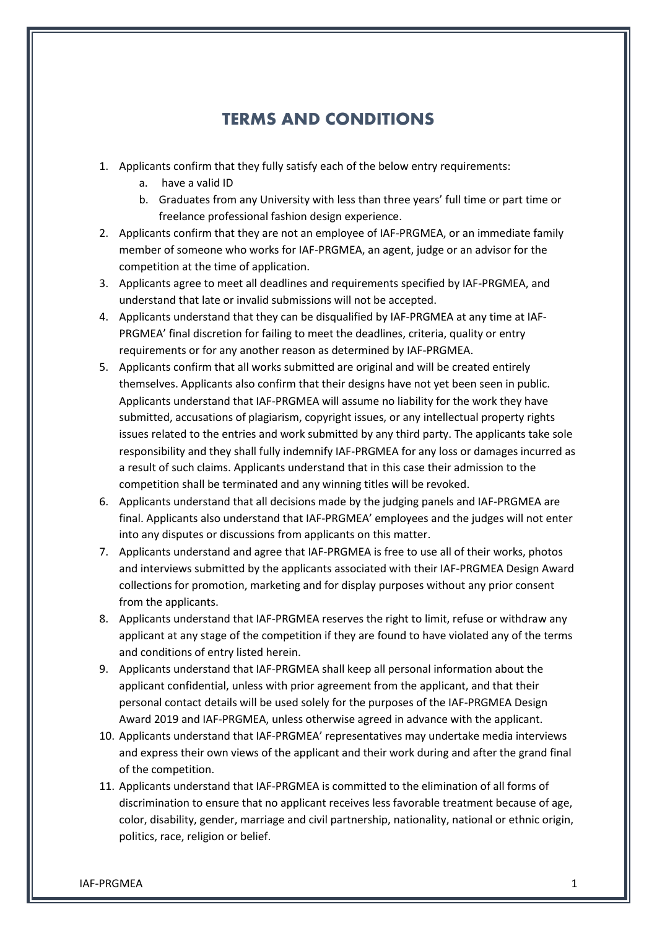## **TERMS AND CONDITIONS**

- 1. Applicants confirm that they fully satisfy each of the below entry requirements:
	- a. have a valid ID
	- b. Graduates from any University with less than three years' full time or part time or freelance professional fashion design experience.
- 2. Applicants confirm that they are not an employee of IAF-PRGMEA, or an immediate family member of someone who works for IAF-PRGMEA, an agent, judge or an advisor for the competition at the time of application.
- 3. Applicants agree to meet all deadlines and requirements specified by IAF-PRGMEA, and understand that late or invalid submissions will not be accepted.
- 4. Applicants understand that they can be disqualified by IAF-PRGMEA at any time at IAF-PRGMEA' final discretion for failing to meet the deadlines, criteria, quality or entry requirements or for any another reason as determined by IAF-PRGMEA.
- 5. Applicants confirm that all works submitted are original and will be created entirely themselves. Applicants also confirm that their designs have not yet been seen in public. Applicants understand that IAF-PRGMEA will assume no liability for the work they have submitted, accusations of plagiarism, copyright issues, or any intellectual property rights issues related to the entries and work submitted by any third party. The applicants take sole responsibility and they shall fully indemnify IAF-PRGMEA for any loss or damages incurred as a result of such claims. Applicants understand that in this case their admission to the competition shall be terminated and any winning titles will be revoked.
- 6. Applicants understand that all decisions made by the judging panels and IAF-PRGMEA are final. Applicants also understand that IAF-PRGMEA' employees and the judges will not enter into any disputes or discussions from applicants on this matter.
- 7. Applicants understand and agree that IAF-PRGMEA is free to use all of their works, photos and interviews submitted by the applicants associated with their IAF-PRGMEA Design Award collections for promotion, marketing and for display purposes without any prior consent from the applicants.
- 8. Applicants understand that IAF-PRGMEA reserves the right to limit, refuse or withdraw any applicant at any stage of the competition if they are found to have violated any of the terms and conditions of entry listed herein.
- 9. Applicants understand that IAF-PRGMEA shall keep all personal information about the applicant confidential, unless with prior agreement from the applicant, and that their personal contact details will be used solely for the purposes of the IAF-PRGMEA Design Award 2019 and IAF-PRGMEA, unless otherwise agreed in advance with the applicant.
- 10. Applicants understand that IAF-PRGMEA' representatives may undertake media interviews and express their own views of the applicant and their work during and after the grand final of the competition.
- 11. Applicants understand that IAF-PRGMEA is committed to the elimination of all forms of discrimination to ensure that no applicant receives less favorable treatment because of age, color, disability, gender, marriage and civil partnership, nationality, national or ethnic origin, politics, race, religion or belief.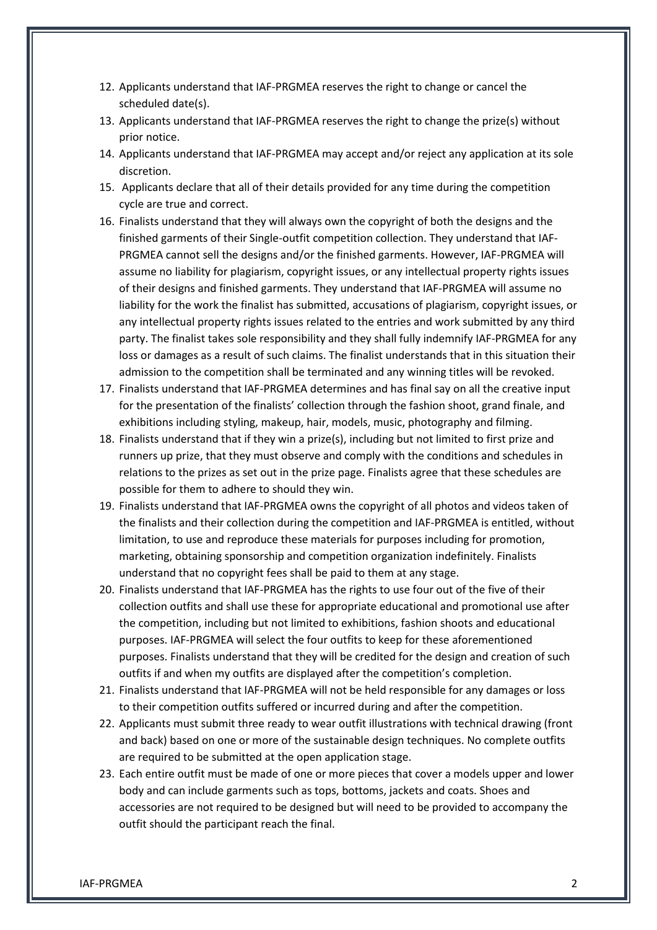- 12. Applicants understand that IAF-PRGMEA reserves the right to change or cancel the scheduled date(s).
- 13. Applicants understand that IAF-PRGMEA reserves the right to change the prize(s) without prior notice.
- 14. Applicants understand that IAF-PRGMEA may accept and/or reject any application at its sole discretion.
- 15. Applicants declare that all of their details provided for any time during the competition cycle are true and correct.
- 16. Finalists understand that they will always own the copyright of both the designs and the finished garments of their Single-outfit competition collection. They understand that IAF-PRGMEA cannot sell the designs and/or the finished garments. However, IAF-PRGMEA will assume no liability for plagiarism, copyright issues, or any intellectual property rights issues of their designs and finished garments. They understand that IAF-PRGMEA will assume no liability for the work the finalist has submitted, accusations of plagiarism, copyright issues, or any intellectual property rights issues related to the entries and work submitted by any third party. The finalist takes sole responsibility and they shall fully indemnify IAF-PRGMEA for any loss or damages as a result of such claims. The finalist understands that in this situation their admission to the competition shall be terminated and any winning titles will be revoked.
- 17. Finalists understand that IAF-PRGMEA determines and has final say on all the creative input for the presentation of the finalists' collection through the fashion shoot, grand finale, and exhibitions including styling, makeup, hair, models, music, photography and filming.
- 18. Finalists understand that if they win a prize(s), including but not limited to first prize and runners up prize, that they must observe and comply with the conditions and schedules in relations to the prizes as set out in the prize page. Finalists agree that these schedules are possible for them to adhere to should they win.
- 19. Finalists understand that IAF-PRGMEA owns the copyright of all photos and videos taken of the finalists and their collection during the competition and IAF-PRGMEA is entitled, without limitation, to use and reproduce these materials for purposes including for promotion, marketing, obtaining sponsorship and competition organization indefinitely. Finalists understand that no copyright fees shall be paid to them at any stage.
- 20. Finalists understand that IAF-PRGMEA has the rights to use four out of the five of their collection outfits and shall use these for appropriate educational and promotional use after the competition, including but not limited to exhibitions, fashion shoots and educational purposes. IAF-PRGMEA will select the four outfits to keep for these aforementioned purposes. Finalists understand that they will be credited for the design and creation of such outfits if and when my outfits are displayed after the competition's completion.
- 21. Finalists understand that IAF-PRGMEA will not be held responsible for any damages or loss to their competition outfits suffered or incurred during and after the competition.
- 22. Applicants must submit three ready to wear outfit illustrations with technical drawing (front and back) based on one or more of the sustainable design techniques. No complete outfits are required to be submitted at the open application stage.
- 23. Each entire outfit must be made of one or more pieces that cover a models upper and lower body and can include garments such as tops, bottoms, jackets and coats. Shoes and accessories are not required to be designed but will need to be provided to accompany the outfit should the participant reach the final.